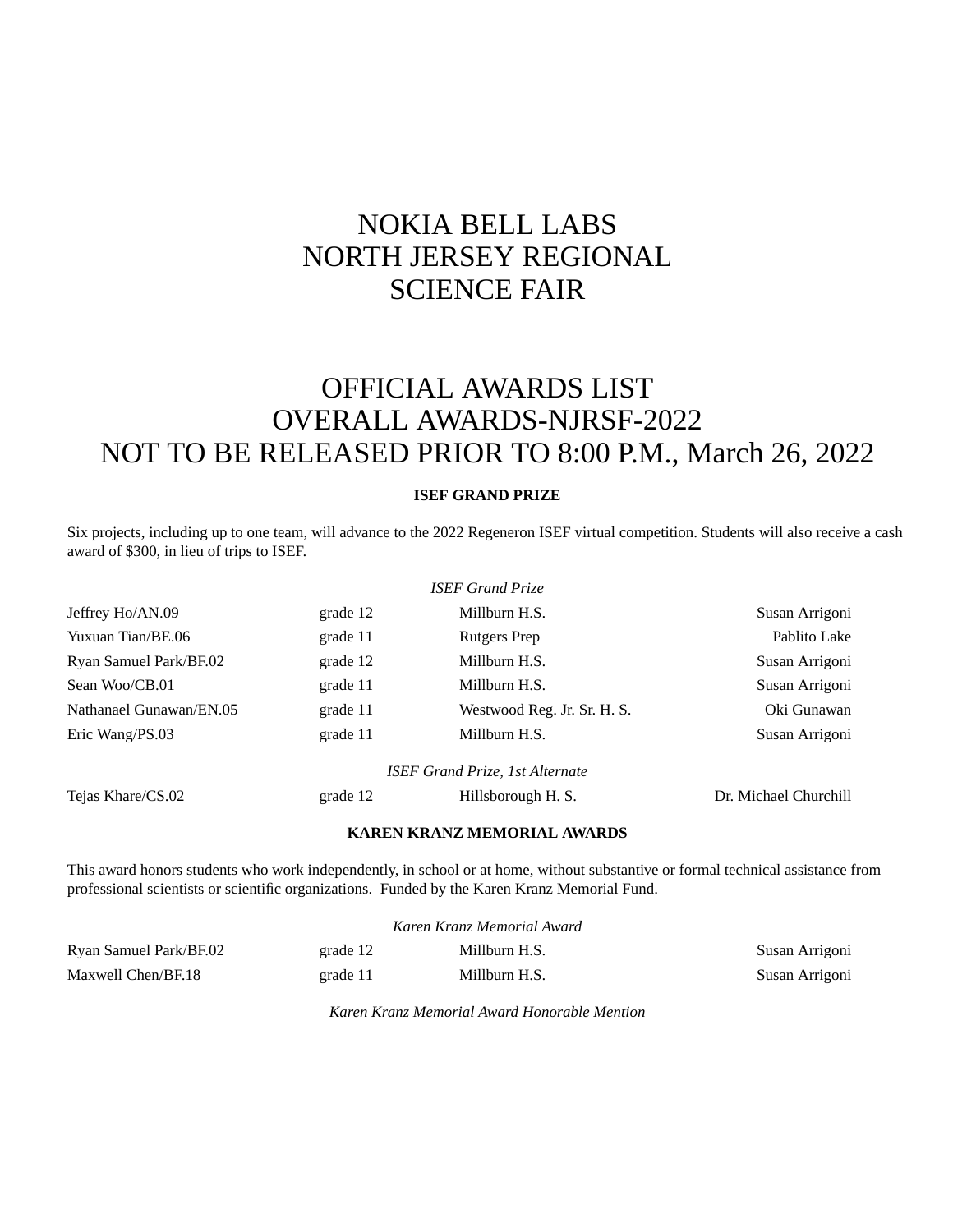# NOKIA BELL LABS NORTH JERSEY REGIONAL SCIENCE FAIR

# OFFICIAL AWARDS LIST OVERALL AWARDS-NJRSF-2022 NOT TO BE RELEASED PRIOR TO 8:00 P.M., March 26, 2022

#### **ISEF GRAND PRIZE**

Six projects, including up to one team, will advance to the 2022 Regeneron ISEF virtual competition. Students will also receive a cash aw ard of \$300, in lieu of trips to ISEF.

*ISEF Grand Prize*

|                         |          | ISEF GHUIU FIIZE                       |                       |
|-------------------------|----------|----------------------------------------|-----------------------|
| Jeffrey Ho/AN.09        | grade 12 | Millburn H.S.                          | Susan Arrigoni        |
| Yuxuan Tian/BE.06       | grade 11 | <b>Rutgers</b> Prep                    | Pablito Lake          |
| Ryan Samuel Park/BF.02  | grade 12 | Millburn H.S.                          | Susan Arrigoni        |
| Sean Woo/CB.01          | grade 11 | Millburn H.S.                          | Susan Arrigoni        |
| Nathanael Gunawan/EN.05 | grade 11 | Westwood Reg. Jr. Sr. H. S.            | Oki Gunawan           |
| Eric Wang/PS.03         | grade 11 | Millburn H.S.                          | Susan Arrigoni        |
|                         |          | <b>ISEF Grand Prize, 1st Alternate</b> |                       |
| Tejas Khare/CS.02       | grade 12 | Hillsborough H. S.                     | Dr. Michael Churchill |

### **KAREN KRANZ MEMORIAL AWARDS**

This award honors students who work independently, in school or at home, without substantive or formal technical assistance from professional scientists or scientific organizations. Funded by the Karen Kranz Memorial Fund.

| Karen Kranz Memorial Award |          |               |                |
|----------------------------|----------|---------------|----------------|
| Ryan Samuel Park/BF.02     | grade 12 | Millburn H.S. | Susan Arrigoni |
| Maxwell Chen/BF.18         | grade 11 | Millburn H.S. | Susan Arrigoni |

*Karen Kranz Memorial Award Honorable Mention*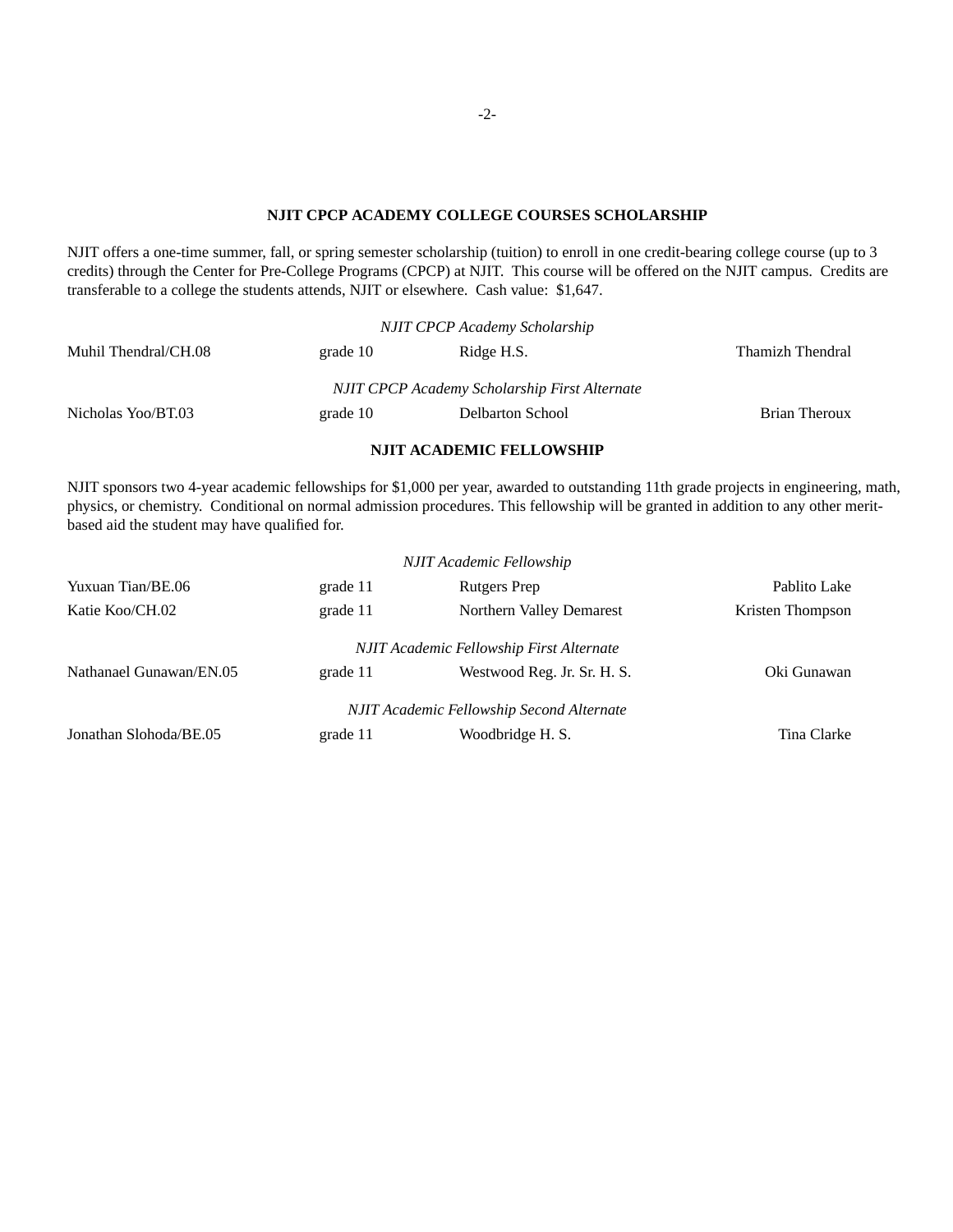### **NJIT CPCP ACADEMY COLLEGE COURSES SCHOLARSHIP**

NJIT offers a one-time summer, fall, or spring semester scholarship (tuition) to enroll in one credit-bearing college course (up to 3 credits) through the Center for Pre-College Programs (CPCP) at NJIT. This course will be offered on the NJIT campus. Credits are transferable to a college the students attends, NJIT or elsewhere. Cash value: \$1,647.

|                      |          | <b>NJIT CPCP Academy Scholarship</b>          |                  |
|----------------------|----------|-----------------------------------------------|------------------|
| Muhil Thendral/CH.08 | grade 10 | Ridge H.S.                                    | Thamizh Thendral |
|                      |          | NJIT CPCP Academy Scholarship First Alternate |                  |
| Nicholas Yoo/BT.03   | grade 10 | <b>Delbarton School</b>                       | Brian Theroux    |

## **NJIT ACADEMIC FELLOWSHIP**

NJIT sponsors two 4-year academic fellowships for \$1,000 per year, awarded to outstanding 11th grade projects in engineering, math, physics, or chemistry. Conditional on normal admission procedures. This fellowship will be granted in addition to any other meritbased aid the student may have qualified for.

|                         |          | NJIT Academic Fellowship                  |                  |
|-------------------------|----------|-------------------------------------------|------------------|
| Yuxuan Tian/BE.06       | grade 11 | <b>Rutgers</b> Prep                       | Pablito Lake     |
| Katie Koo/CH.02         | grade 11 | Northern Valley Demarest                  | Kristen Thompson |
|                         |          | NJIT Academic Fellowship First Alternate  |                  |
| Nathanael Gunawan/EN.05 | grade 11 | Westwood Reg. Jr. Sr. H. S.               | Oki Gunawan      |
|                         |          | NJIT Academic Fellowship Second Alternate |                  |
| Jonathan Slohoda/BE.05  | grade 11 | Woodbridge H. S.                          | Tina Clarke      |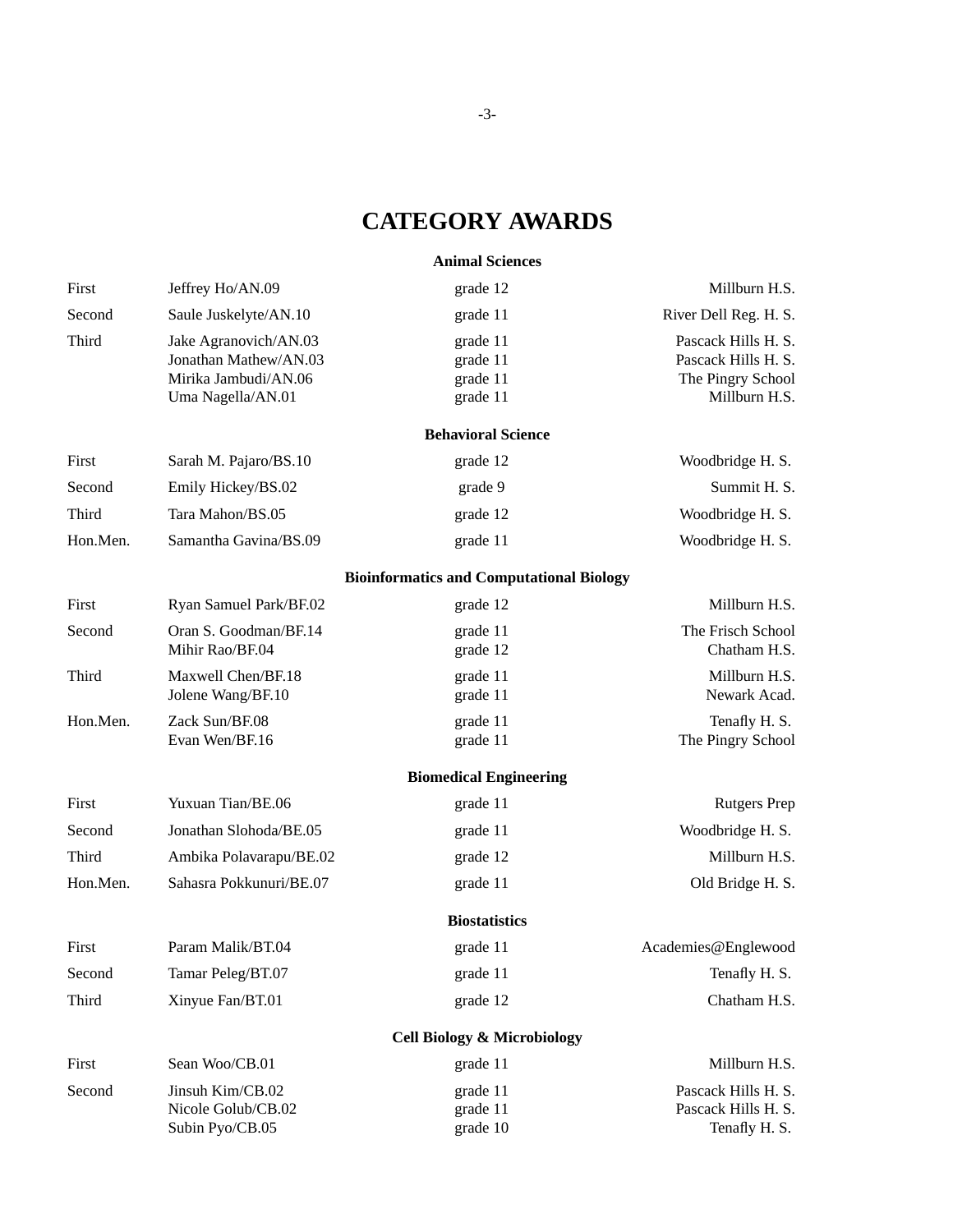# **CATEGORY AWARDS**

## **Animal Sciences**

| First    | Jeffrey Ho/AN.09                                                                            | grade 12                                        | Millburn H.S.                                                                    |
|----------|---------------------------------------------------------------------------------------------|-------------------------------------------------|----------------------------------------------------------------------------------|
| Second   | Saule Juskelyte/AN.10                                                                       | grade 11                                        | River Dell Reg. H. S.                                                            |
| Third    | Jake Agranovich/AN.03<br>Jonathan Mathew/AN.03<br>Mirika Jambudi/AN.06<br>Uma Nagella/AN.01 | grade 11<br>grade 11<br>grade 11<br>grade 11    | Pascack Hills H. S.<br>Pascack Hills H. S.<br>The Pingry School<br>Millburn H.S. |
|          |                                                                                             | <b>Behavioral Science</b>                       |                                                                                  |
| First    | Sarah M. Pajaro/BS.10                                                                       | grade 12                                        | Woodbridge H.S.                                                                  |
| Second   | Emily Hickey/BS.02                                                                          | grade 9                                         | Summit H. S.                                                                     |
| Third    | Tara Mahon/BS.05                                                                            | grade 12                                        | Woodbridge H.S.                                                                  |
| Hon.Men. | Samantha Gavina/BS.09                                                                       | grade 11                                        | Woodbridge H.S.                                                                  |
|          |                                                                                             | <b>Bioinformatics and Computational Biology</b> |                                                                                  |
| First    | Ryan Samuel Park/BF.02                                                                      | grade 12                                        | Millburn H.S.                                                                    |
| Second   | Oran S. Goodman/BF.14<br>Mihir Rao/BF.04                                                    | grade 11<br>grade 12                            | The Frisch School<br>Chatham H.S.                                                |
| Third    | Maxwell Chen/BF.18<br>Jolene Wang/BF.10                                                     | grade 11<br>grade 11                            | Millburn H.S.<br>Newark Acad.                                                    |
| Hon.Men. | Zack Sun/BF.08<br>Evan Wen/BF.16                                                            | grade 11<br>grade 11                            | Tenafly H. S.<br>The Pingry School                                               |
|          |                                                                                             | <b>Biomedical Engineering</b>                   |                                                                                  |
| First    | Yuxuan Tian/BE.06                                                                           | grade 11                                        | <b>Rutgers</b> Prep                                                              |
| Second   | Jonathan Slohoda/BE.05                                                                      | grade 11                                        | Woodbridge H.S.                                                                  |
| Third    | Ambika Polavarapu/BE.02                                                                     | grade 12                                        | Millburn H.S.                                                                    |
| Hon.Men. | Sahasra Pokkunuri/BE.07                                                                     | grade 11                                        | Old Bridge H. S.                                                                 |
|          |                                                                                             | <b>Biostatistics</b>                            |                                                                                  |
| First    | Param Malik/BT.04                                                                           | grade 11                                        | Academies@Englewood                                                              |
| Second   | Tamar Peleg/BT.07                                                                           | grade 11                                        | Tenafly H. S.                                                                    |
| Third    | Xinyue Fan/BT.01                                                                            | grade 12                                        | Chatham H.S.                                                                     |
|          |                                                                                             | <b>Cell Biology &amp; Microbiology</b>          |                                                                                  |
| First    | Sean Woo/CB.01                                                                              | grade 11                                        | Millburn H.S.                                                                    |
| Second   | Jinsuh Kim/CB.02<br>Nicole Golub/CB.02<br>Subin Pyo/CB.05                                   | grade 11<br>grade 11<br>grade 10                | Pascack Hills H. S.<br>Pascack Hills H. S.<br>Tenafly H. S.                      |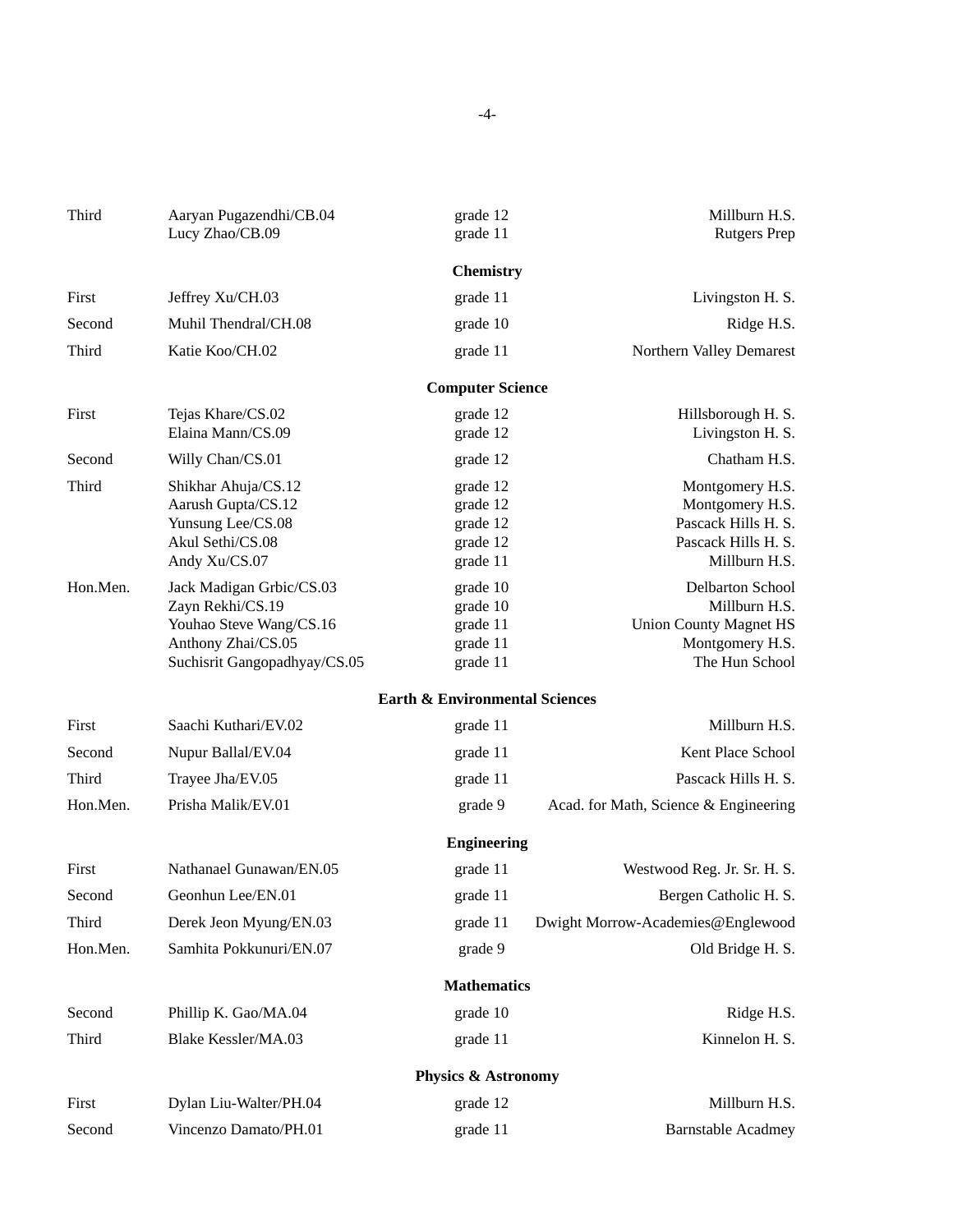| Third    | Aaryan Pugazendhi/CB.04<br>Lucy Zhao/CB.09                                                                                    | grade 12<br>grade 11                                     | Millburn H.S.<br><b>Rutgers</b> Prep                                                                    |
|----------|-------------------------------------------------------------------------------------------------------------------------------|----------------------------------------------------------|---------------------------------------------------------------------------------------------------------|
|          |                                                                                                                               | <b>Chemistry</b>                                         |                                                                                                         |
| First    | Jeffrey Xu/CH.03                                                                                                              | grade 11                                                 | Livingston H. S.                                                                                        |
| Second   | Muhil Thendral/CH.08                                                                                                          | grade 10                                                 | Ridge H.S.                                                                                              |
| Third    | Katie Koo/CH.02                                                                                                               | grade 11                                                 | Northern Valley Demarest                                                                                |
|          |                                                                                                                               | <b>Computer Science</b>                                  |                                                                                                         |
| First    | Tejas Khare/CS.02<br>Elaina Mann/CS.09                                                                                        | grade 12<br>grade 12                                     | Hillsborough H. S.<br>Livingston H. S.                                                                  |
| Second   | Willy Chan/CS.01                                                                                                              | grade 12                                                 | Chatham H.S.                                                                                            |
| Third    | Shikhar Ahuja/CS.12<br>Aarush Gupta/CS.12<br>Yunsung Lee/CS.08<br>Akul Sethi/CS.08<br>Andy Xu/CS.07                           | grade 12<br>grade 12<br>grade 12<br>grade 12<br>grade 11 | Montgomery H.S.<br>Montgomery H.S.<br>Pascack Hills H. S.<br>Pascack Hills H. S.<br>Millburn H.S.       |
| Hon.Men. | Jack Madigan Grbic/CS.03<br>Zayn Rekhi/CS.19<br>Youhao Steve Wang/CS.16<br>Anthony Zhai/CS.05<br>Suchisrit Gangopadhyay/CS.05 | grade 10<br>grade 10<br>grade 11<br>grade 11<br>grade 11 | Delbarton School<br>Millburn H.S.<br><b>Union County Magnet HS</b><br>Montgomery H.S.<br>The Hun School |
|          |                                                                                                                               | <b>Earth &amp; Environmental Sciences</b>                |                                                                                                         |
| First    | Saachi Kuthari/EV.02                                                                                                          | grade 11                                                 | Millburn H.S.                                                                                           |
| Second   | Nupur Ballal/EV.04                                                                                                            | grade 11                                                 | Kent Place School                                                                                       |
| Third    | Trayee Jha/EV.05                                                                                                              | grade 11                                                 | Pascack Hills H. S.                                                                                     |
| Hon.Men. | Prisha Malik/EV.01                                                                                                            | grade 9                                                  | Acad. for Math, Science & Engineering                                                                   |
|          |                                                                                                                               | <b>Engineering</b>                                       |                                                                                                         |
| First    | Nathanael Gunawan/EN.05                                                                                                       | grade 11                                                 | Westwood Reg. Jr. Sr. H. S.                                                                             |
| Second   | Geonhun Lee/EN.01                                                                                                             | grade 11                                                 | Bergen Catholic H. S.                                                                                   |
| Third    | Derek Jeon Myung/EN.03                                                                                                        | grade 11                                                 | Dwight Morrow-Academies@Englewood                                                                       |
| Hon.Men. | Samhita Pokkunuri/EN.07                                                                                                       | grade 9                                                  | Old Bridge H. S.                                                                                        |
|          |                                                                                                                               | <b>Mathematics</b>                                       |                                                                                                         |
| Second   | Phillip K. Gao/MA.04                                                                                                          | grade 10                                                 | Ridge H.S.                                                                                              |
| Third    | Blake Kessler/MA.03                                                                                                           | grade 11                                                 | Kinnelon H. S.                                                                                          |
|          |                                                                                                                               | <b>Physics &amp; Astronomy</b>                           |                                                                                                         |
| First    | Dylan Liu-Walter/PH.04                                                                                                        | grade 12                                                 | Millburn H.S.                                                                                           |
| Second   | Vincenzo Damato/PH.01                                                                                                         | grade 11                                                 | <b>Barnstable Acadmey</b>                                                                               |

-4-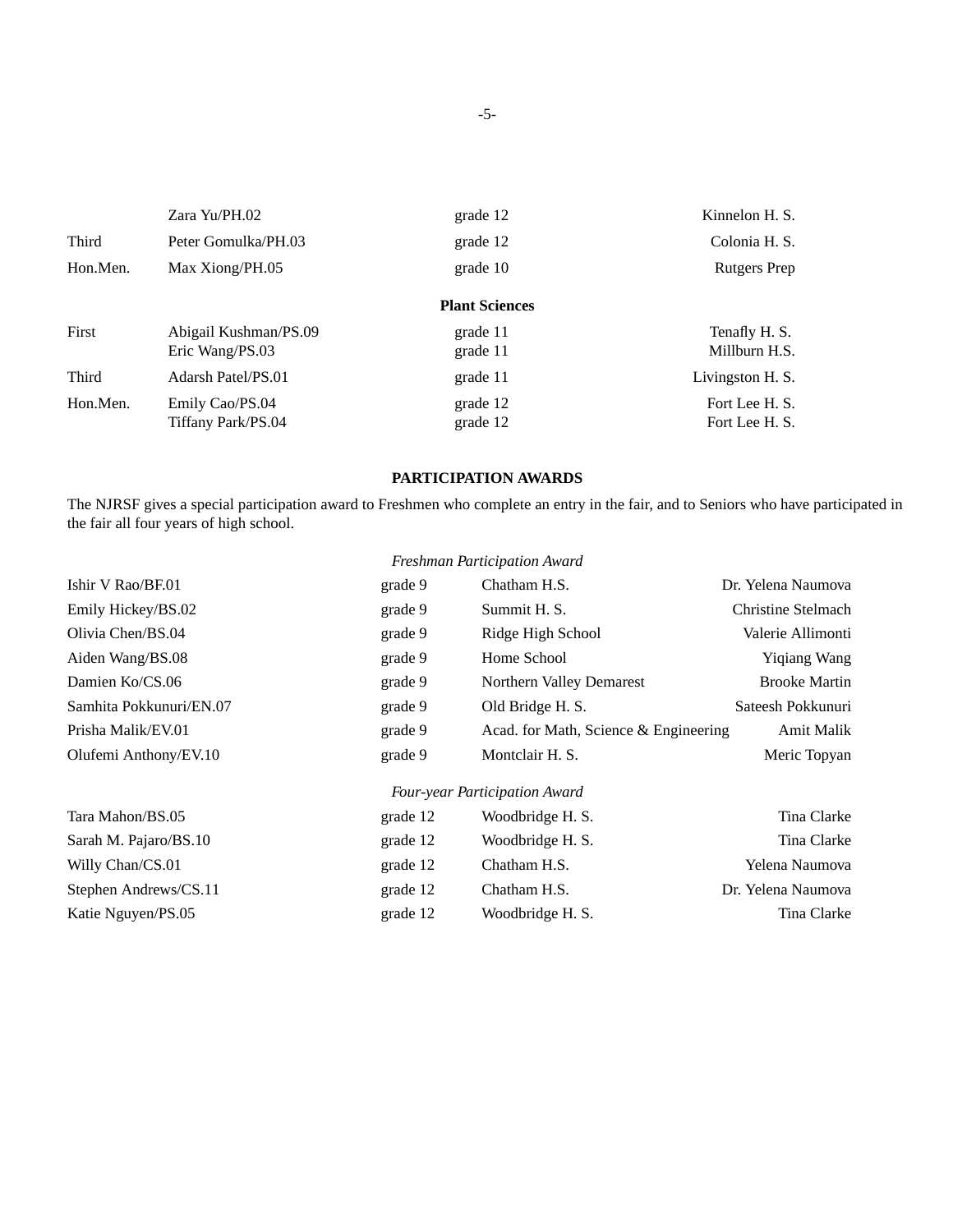|          | Zara Yu/PH.02                            | grade 12              | Kinnelon H. S.                   |
|----------|------------------------------------------|-----------------------|----------------------------------|
| Third    | Peter Gomulka/PH.03                      | grade 12              | Colonia H. S.                    |
| Hon.Men. | Max Xiong/PH.05                          | grade 10              | <b>Rutgers</b> Prep              |
|          |                                          | <b>Plant Sciences</b> |                                  |
| First    | Abigail Kushman/PS.09<br>Eric Wang/PS.03 | grade 11<br>grade 11  | Tenafly H. S.<br>Millburn H.S.   |
| Third    | Adarsh Patel/PS.01                       | grade 11              | Livingston H. S.                 |
| Hon.Men. | Emily Cao/PS.04<br>Tiffany Park/PS.04    | grade 12<br>grade 12  | Fort Lee H. S.<br>Fort Lee H. S. |

#### **PARTICIPATION AWARDS**

The NJRSF gives a special participation award to Freshmen who complete an entry in the fair, and to Seniors who have participated in the fair all four years of high school.

| Freshman Participation Award |  |
|------------------------------|--|
|                              |  |

| Ishir V Rao/BF.01       | grade 9  | Chatham H.S.                          | Dr. Yelena Naumova   |
|-------------------------|----------|---------------------------------------|----------------------|
| Emily Hickey/BS.02      | grade 9  | Summit H. S.                          | Christine Stelmach   |
| Olivia Chen/BS.04       | grade 9  | Ridge High School                     | Valerie Allimonti    |
| Aiden Wang/BS.08        | grade 9  | Home School                           | Yiqiang Wang         |
| Damien Ko/CS.06         | grade 9  | Northern Valley Demarest              | <b>Brooke Martin</b> |
| Samhita Pokkunuri/EN.07 | grade 9  | Old Bridge H. S.                      | Sateesh Pokkunuri    |
| Prisha Malik/EV.01      | grade 9  | Acad. for Math, Science & Engineering | Amit Malik           |
| Olufemi Anthony/EV.10   | grade 9  | Montclair H. S.                       | Meric Topyan         |
|                         |          | Four-year Participation Award         |                      |
| Tara Mahon/BS.05        | grade 12 | Woodbridge H.S.                       | Tina Clarke          |

Sarah M. Pajaro/BS.10 Willy Chan/CS.01 Stephen Andrews/CS.11 Katie Nguyen/PS.05

| Tina Clarke        | Woodbridge H. S. | grade 12 |
|--------------------|------------------|----------|
| Tina Clarke        | Woodbridge H. S. | grade 12 |
| Yelena Naumova     | Chatham H.S.     | grade 12 |
| Dr. Yelena Naumova | Chatham H.S.     | grade 12 |
| Tina Clarke        | Woodbridge H. S. | grade 12 |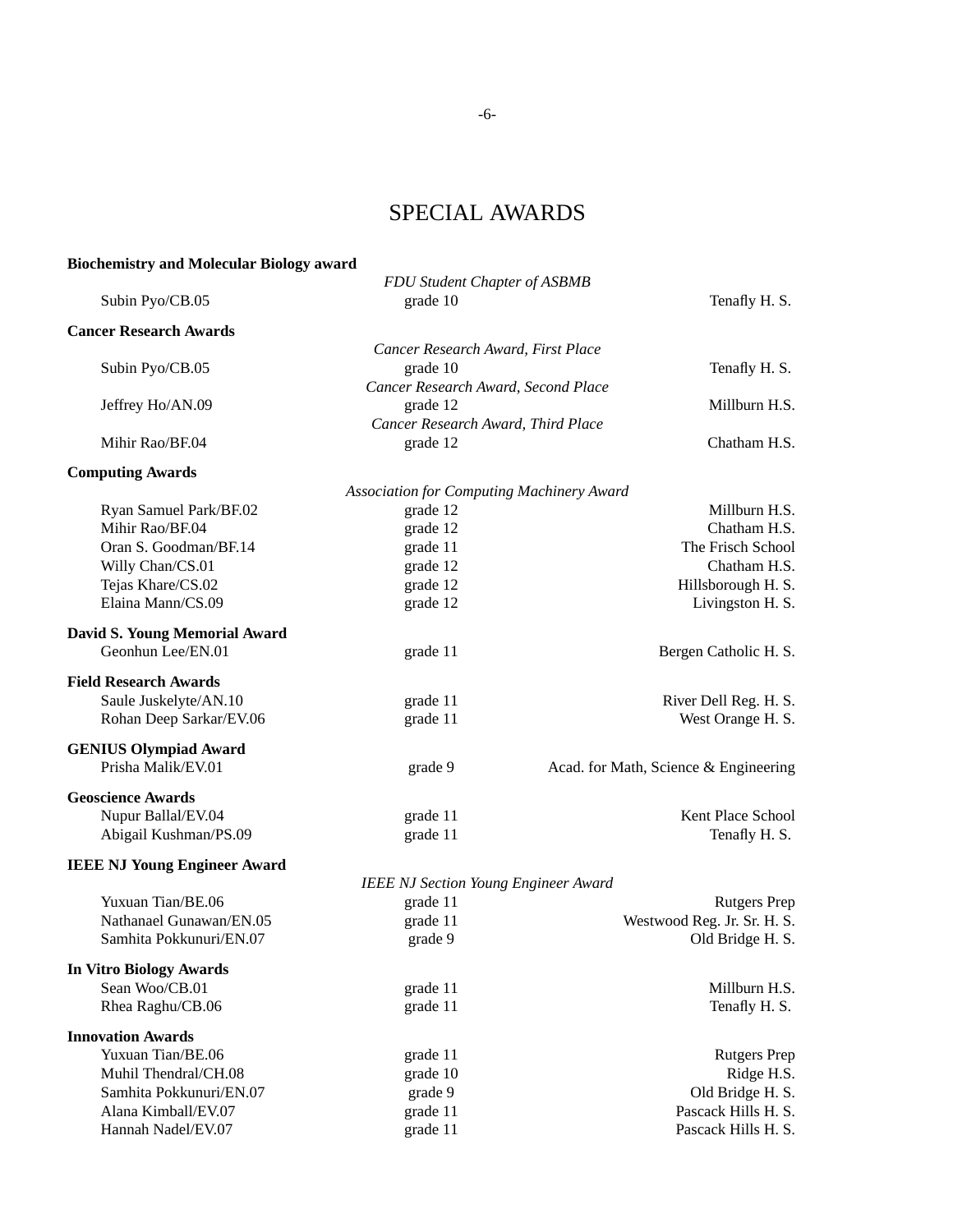# SPECIAL AWARDS

## **Biochemistry and Molecular Biology award** *FDU Student Chapter of ASBMB* Subin Pyo/CB.05 grade 10 grade 10 Tenafly H. S. **Cancer Research Awards** *Cancer Research Award, First Place* Subin Pyo/CB.05 grade 10 grade 10 Tenafly H. S. *Cancer Research Award, Second Place* Jeffrey Ho/AN.09 **grade 12** grade 12 Millburn H.S. *Cancer Research Award, Third Place* Mihir Rao/BF.04 grade 12 grade 12 Chatham H.S. **Computing Awards** *Association for Computing Machinery Award* Ryan Samuel Park/BF.02 grade 12 grade 12 Millburn H.S. Mihir Rao/BF.04 grade 12 grade 12 Chatham H.S. Oran S. Goodman/BF.14 grade 11 grade 11 The Frisch School Willy Chan/CS.01 grade 12 Chatham H.S. Tejas Khare/CS.02 **grade 12** Grade 12 Hillsborough H. S. Elaina Mann/CS.09 **grade 12** erach grade 12 Livingston H. S. **David S. Young Memorial Award** Geonhun Lee/EN.01 **grade 11** grade 11 **Bergen Catholic H. S. Field Research Awards** Saule Juskelyte/AN.10 **grade 11** and the state of the state of the state of the state of the state of the state of the state of the state of the state of the state of the state of the state of the state of the state of the Rohan Deep Sarkar/EV.06 eras grade 11 West Orange H. S. **GENIUS Olympiad Award** Prisha Malik/EV.01 **grade 9** Acad. for Math, Science & Engineering **Geoscience Awards** Nupur Ballal/EV.04 **grade 11** Series and the series of the series of the series of the series of the series of the series of the series of the series of the series of the series of the series of the series of the series of Abigail Kushman/PS.09 erade 11 contract the set of the set of the set of the set of the set of the set of the set of the set of the set of the set of the set of the set of the set of the set of the set of the set of the se **IEEE NJ Young Engineer Award** *IEEE NJ Section Young Engineer Award* Yuxuan Tian/BE.06 **grade 11** Rutgers Prep Nathanael Gunawan/EN.05 grade 11 Westwood Reg. Jr. Sr. H. S. Samhita Pokkunuri/EN.07 **grade 9** Gld Bridge H. S. **In Vitro Biology Awards** Sean Woo/CB.01 grade 11 Millburn H.S. Rhea Raghu/CB.06 **grade 11 grade 11 Tenafly H. S. Innovation Awards** Yuxuan Tian/BE.06 **grade 11 Rutgers** Prep Muhil Thendral/CH.08 grade 10 grade 10 Ridge H.S. Samhita Pokkunuri/EN.07 erade 9 grade 9 Old Bridge H. S. Alana Kimball/EV.07 **grade 11** Pascack Hills H. S.

Hannah Nadel/EV.07 grade 11 Pascack Hills H. S.

-6-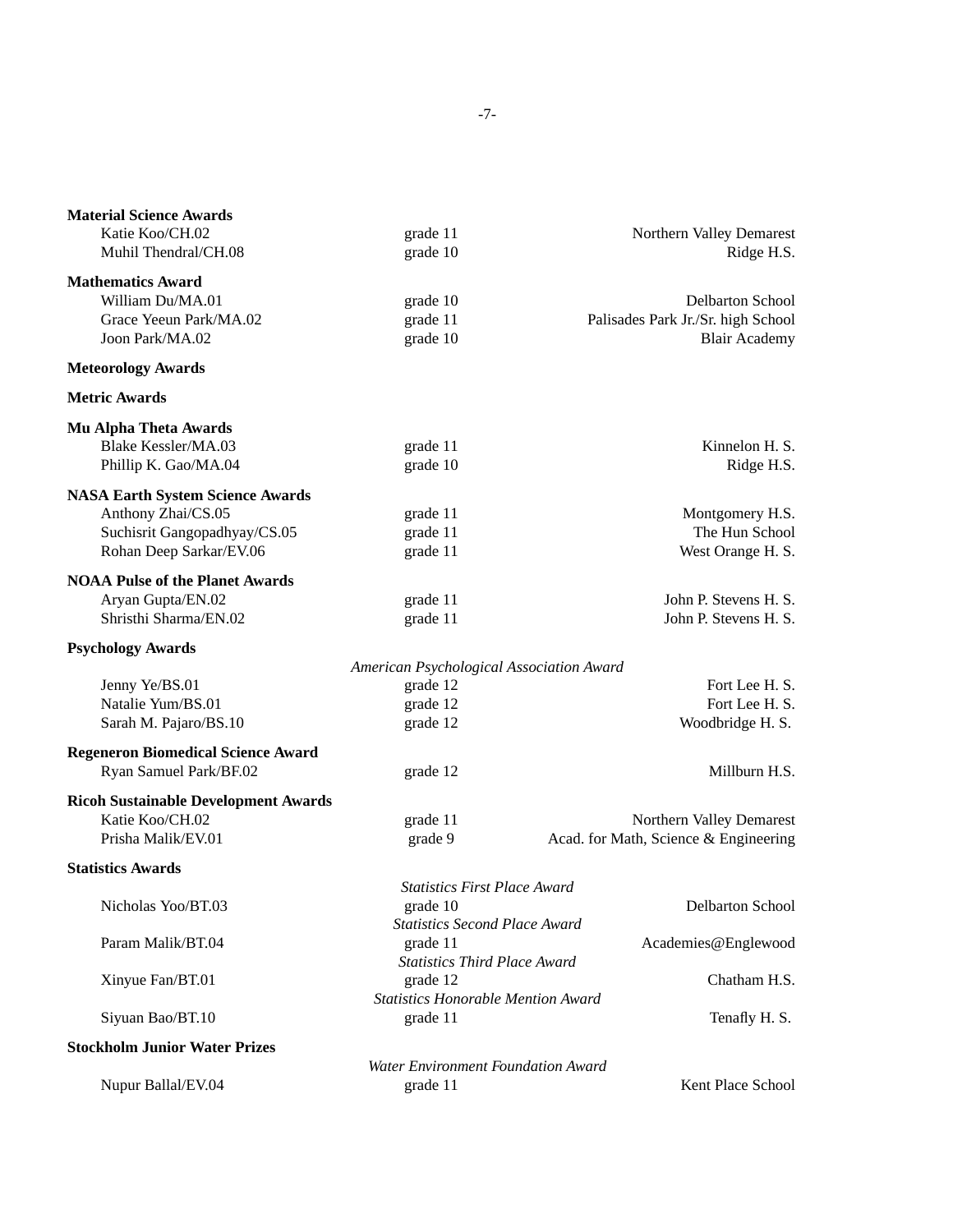| <b>Material Science Awards</b>                                |                                           |                                       |
|---------------------------------------------------------------|-------------------------------------------|---------------------------------------|
| Katie Koo/CH.02                                               | grade 11                                  | Northern Valley Demarest              |
| Muhil Thendral/CH.08                                          | grade 10                                  | Ridge H.S.                            |
| <b>Mathematics Award</b>                                      |                                           |                                       |
| William Du/MA.01                                              | grade 10                                  | <b>Delbarton School</b>               |
| Grace Yeeun Park/MA.02                                        | grade 11                                  | Palisades Park Jr./Sr. high School    |
| Joon Park/MA.02                                               | grade 10                                  | <b>Blair Academy</b>                  |
| <b>Meteorology Awards</b>                                     |                                           |                                       |
| <b>Metric Awards</b>                                          |                                           |                                       |
| <b>Mu Alpha Theta Awards</b>                                  |                                           |                                       |
| Blake Kessler/MA.03                                           | grade 11                                  | Kinnelon H. S.                        |
| Phillip K. Gao/MA.04                                          | grade 10                                  | Ridge H.S.                            |
|                                                               |                                           |                                       |
| <b>NASA Earth System Science Awards</b><br>Anthony Zhai/CS.05 | grade 11                                  | Montgomery H.S.                       |
| Suchisrit Gangopadhyay/CS.05                                  | grade 11                                  | The Hun School                        |
| Rohan Deep Sarkar/EV.06                                       | grade 11                                  | West Orange H. S.                     |
|                                                               |                                           |                                       |
| <b>NOAA Pulse of the Planet Awards</b><br>Aryan Gupta/EN.02   |                                           |                                       |
| Shristhi Sharma/EN.02                                         | grade 11                                  | John P. Stevens H. S.                 |
|                                                               | grade 11                                  | John P. Stevens H. S.                 |
| <b>Psychology Awards</b>                                      |                                           |                                       |
|                                                               | American Psychological Association Award  |                                       |
| Jenny Ye/BS.01                                                | grade 12                                  | Fort Lee H. S.                        |
| Natalie Yum/BS.01                                             | grade 12                                  | Fort Lee H. S.                        |
| Sarah M. Pajaro/BS.10                                         | grade 12                                  | Woodbridge H.S.                       |
| <b>Regeneron Biomedical Science Award</b>                     |                                           |                                       |
| Ryan Samuel Park/BF.02                                        | grade 12                                  | Millburn H.S.                         |
| <b>Ricoh Sustainable Development Awards</b>                   |                                           |                                       |
| Katie Koo/CH.02                                               | grade 11                                  | Northern Valley Demarest              |
| Prisha Malik/EV.01                                            | grade 9                                   | Acad. for Math, Science & Engineering |
| <b>Statistics Awards</b>                                      |                                           |                                       |
|                                                               | <b>Statistics First Place Award</b>       |                                       |
| Nicholas Yoo/BT.03                                            | grade 10                                  | Delbarton School                      |
|                                                               | <b>Statistics Second Place Award</b>      |                                       |
| Param Malik/BT.04                                             | grade 11                                  | Academies@Englewood                   |
|                                                               | <b>Statistics Third Place Award</b>       |                                       |
| Xinyue Fan/BT.01                                              | grade 12                                  | Chatham H.S.                          |
|                                                               | <b>Statistics Honorable Mention Award</b> |                                       |
| Siyuan Bao/BT.10                                              | grade 11                                  | Tenafly H. S.                         |
| <b>Stockholm Junior Water Prizes</b>                          |                                           |                                       |
|                                                               | Water Environment Foundation Award        |                                       |
| Nupur Ballal/EV.04                                            | grade 11                                  | Kent Place School                     |